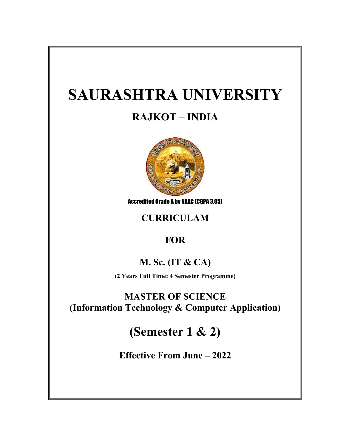# **SAURASHTRA UNIVERSITY**

## **RAJKOT – INDIA**



Accredited Grade A by NAAC (CGPA 3.05)

## **CURRICULAM**

## **FOR**

## **M. Sc. (IT & CA)**

**(2 Years Full Time: 4 Semester Programme)**

**MASTER OF SCIENCE (Information Technology & Computer Application)**

## **(Semester 1 & 2)**

**Effective From June – 2022**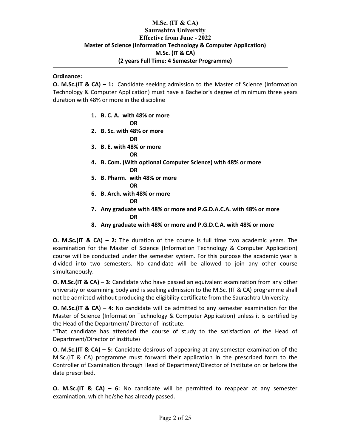## **M.Sc. (IT & CA) Saurashtra University Effective from June - 2022 Master of Science (Information Technology & Computer Application) M.Sc. (IT & CA) (2 years Full Time: 4 Semester Programme)**

### **Ordinance:**

**O. M.Sc.(IT & CA) – 1:** Candidate seeking admission to the Master of Science (Information Technology & Computer Application) must have a Bachelor's degree of minimum three years duration with 48% or more in the discipline

**1. B. C. A. with 48% or more**

**OR**

- **2. B. Sc. with 48% or more OR**
- **3. B. E. with 48% or more**

**OR**

- **4. B. Com. (With optional Computer Science) with 48% or more OR**
- **5. B. Pharm. with 48% or more OR**
- **6. B. Arch. with 48% or more**
	- **OR**
- **7. Any graduate with 48% or more and P.G.D.A.C.A. with 48% or more OR**
- **8. Any graduate with 48% or more and P.G.D.C.A. with 48% or more**

**O. M.Sc.(IT & CA) – 2:** The duration of the course is full time two academic years. The examination for the Master of Science (Information Technology & Computer Application) course will be conducted under the semester system. For this purpose the academic year is divided into two semesters. No candidate will be allowed to join any other course simultaneously.

**O. M.Sc.(IT & CA) – 3:** Candidate who have passed an equivalent examination from any other university or examining body and is seeking admission to the M.Sc. (IT & CA) programme shall not be admitted without producing the eligibility certificate from the Saurashtra University.

**O. M.Sc.(IT & CA) – 4:** No candidate will be admitted to any semester examination for the Master of Science (Information Technology & Computer Application) unless it is certified by the Head of the Department/ Director of institute.

"That candidate has attended the course of study to the satisfaction of the Head of Department/Director of institute)

**O. M.Sc.(IT & CA) – 5:** Candidate desirous of appearing at any semester examination of the M.Sc.(IT & CA) programme must forward their application in the prescribed form to the Controller of Examination through Head of Department/Director of Institute on or before the date prescribed.

**O. M.Sc.(IT & CA) – 6:** No candidate will be permitted to reappear at any semester examination, which he/she has already passed.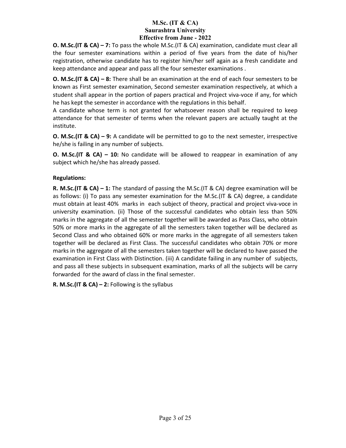**O. M.Sc.(IT & CA) – 7:** To pass the whole M.Sc.(IT & CA) examination, candidate must clear all the four semester examinations within a period of five years from the date of his/her registration, otherwise candidate has to register him/her self again as a fresh candidate and keep attendance and appear and pass all the four semester examinations .

**O. M.Sc.(IT & CA) – 8:** There shall be an examination at the end of each four semesters to be known as First semester examination, Second semester examination respectively, at which a student shall appear in the portion of papers practical and Project viva-voce if any, for which he has kept the semester in accordance with the regulations in this behalf.

A candidate whose term is not granted for whatsoever reason shall be required to keep attendance for that semester of terms when the relevant papers are actually taught at the institute.

**O. M.Sc.(IT & CA) – 9:** A candidate will be permitted to go to the next semester, irrespective he/she is failing in any number of subjects.

**O. M.Sc.(IT & CA) – 10:** No candidate will be allowed to reappear in examination of any subject which he/she has already passed.

## **Regulations:**

**R. M.Sc.(IT & CA) – 1:** The standard of passing the M.Sc.(IT & CA) degree examination will be as follows: (i) To pass any semester examination for the M.Sc.(IT & CA) degree, a candidate must obtain at least 40% marks in each subject of theory, practical and project viva-voce in university examination. (ii) Those of the successful candidates who obtain less than 50% marks in the aggregate of all the semester together will be awarded as Pass Class, who obtain 50% or more marks in the aggregate of all the semesters taken together will be declared as Second Class and who obtained 60% or more marks in the aggregate of all semesters taken together will be declared as First Class. The successful candidates who obtain 70% or more marks in the aggregate of all the semesters taken together will be declared to have passed the examination in First Class with Distinction. (iii) A candidate failing in any number of subjects, and pass all these subjects in subsequent examination, marks of all the subjects will be carry forwarded for the award of class in the final semester.

**R. M.Sc.(IT & CA) – 2:** Following is the syllabus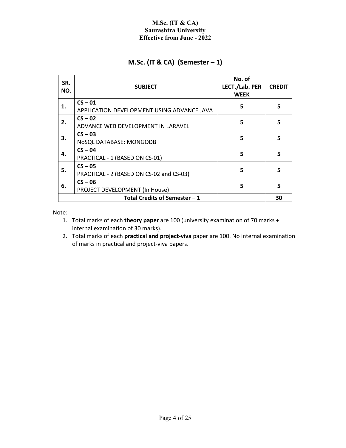## **M.Sc. (IT & CA) (Semester – 1)**

| SR.<br>NO. | <b>SUBJECT</b>                                          | No. of<br>LECT./Lab. PER<br><b>WEEK</b> | <b>CREDIT</b> |
|------------|---------------------------------------------------------|-----------------------------------------|---------------|
| 1.         | $CS - 01$<br>APPLICATION DEVELOPMENT USING ADVANCE JAVA | 5                                       | 5             |
| 2.         | $CS - 02$<br>ADVANCE WEB DEVELOPMENT IN LARAVEL         | 5                                       | 5             |
| 3.         | $CS - 03$<br>NoSQL DATABASE: MONGODB                    | 5                                       | 5             |
| 4.         | $CS - 04$<br>PRACTICAL - 1 (BASED ON CS-01)             | 5                                       | 5             |
| 5.         | $CS - 05$<br>PRACTICAL - 2 (BASED ON CS-02 and CS-03)   | 5                                       | 5             |
| 6.         | $CS - 06$<br>PROJECT DEVELOPMENT (In House)             | 5                                       | 5             |
|            | Total Credits of Semester - 1                           |                                         | 30            |

Note:

- 1. Total marks of each **theory paper** are 100 (university examination of 70 marks + internal examination of 30 marks).
- 2. Total marks of each **practical and project-viva** paper are 100. No internal examination of marks in practical and project-viva papers.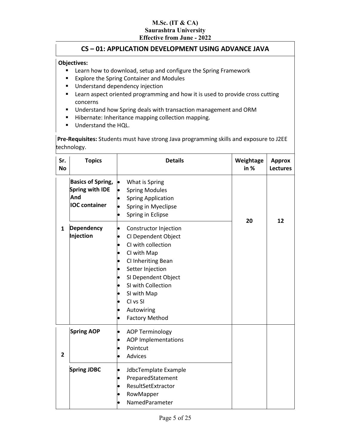## **CS – 01: APPLICATION DEVELOPMENT USING ADVANCE JAVA**

#### **Objectives:**

- **EXECT:** Learn how to download, setup and configure the Spring Framework
- **Explore the Spring Container and Modules**
- **Understand dependency injection**
- **EXT** Learn aspect oriented programming and how it is used to provide cross cutting concerns
- **Understand how Spring deals with transaction management and ORM**
- Hibernate: Inheritance mapping collection mapping.
- Understand the HQL.

**Pre-Requisites:** Students must have strong Java programming skills and exposure to J2EE technology.

| Sr.<br><b>No</b> | <b>Topics</b>                                                                     | <b>Details</b>                                                                                                                                                                                                                             | Weightage<br>in $%$ | <b>Approx</b><br><b>Lectures</b> |
|------------------|-----------------------------------------------------------------------------------|--------------------------------------------------------------------------------------------------------------------------------------------------------------------------------------------------------------------------------------------|---------------------|----------------------------------|
|                  | <b>Basics of Spring,</b><br><b>Spring with IDE</b><br>And<br><b>IOC</b> container | What is Spring<br><b>Spring Modules</b><br>$\bullet$<br><b>Spring Application</b><br>Spring in Myeclipse<br>Spring in Eclipse                                                                                                              |                     | 12                               |
| 1                | <b>Dependency</b><br>Injection                                                    | Constructor Injection<br>CI Dependent Object<br>CI with collection<br>CI with Map<br>CI Inheriting Bean<br>Setter Injection<br>SI Dependent Object<br>SI with Collection<br>SI with Map<br>CI vs SI<br>Autowiring<br><b>Factory Method</b> | 20                  |                                  |
| $\mathbf{2}$     | <b>Spring AOP</b>                                                                 | <b>AOP Terminology</b><br>$\bullet$<br><b>AOP Implementations</b><br>Pointcut<br>Advices                                                                                                                                                   |                     |                                  |
|                  | <b>Spring JDBC</b>                                                                | JdbcTemplate Example<br>$\bullet$<br>PreparedStatement<br>ResultSetExtractor<br>RowMapper<br>NamedParameter                                                                                                                                |                     |                                  |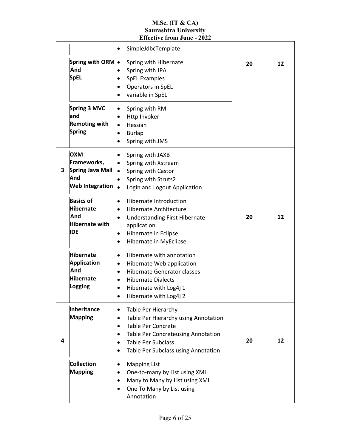|   |                                                                                    | <b>Effective from June - 2022</b>                                                                                                                                                                                      |    |    |
|---|------------------------------------------------------------------------------------|------------------------------------------------------------------------------------------------------------------------------------------------------------------------------------------------------------------------|----|----|
|   |                                                                                    | SimpleJdbcTemplate                                                                                                                                                                                                     |    |    |
|   | Spring with ORM<br>And<br><b>SpEL</b>                                              | Spring with Hibernate<br>Spring with JPA<br><b>SpEL Examples</b><br>Operators in SpEL<br>variable in SpEL                                                                                                              | 20 | 12 |
|   | Spring 3 MVC<br>land<br><b>Remoting with</b><br><b>Spring</b>                      | Spring with RMI<br>Http Invoker<br>Hessian<br>lo<br><b>Burlap</b><br>$\bullet$<br>Spring with JMS                                                                                                                      |    |    |
| 3 | OXM<br>Frameworks,<br><b>Spring Java Mail</b><br>And<br><b>Web Integration</b>     | Spring with JAXB<br>Spring with Xstream<br>Spring with Castor<br>Spring with Struts2<br>Login and Logout Application                                                                                                   |    |    |
|   | <b>Basics of</b><br><b>Hibernate</b><br>And<br><b>Hibernate with</b><br><b>IDE</b> | <b>Hibernate Introduction</b><br><b>Hibernate Architecture</b><br><b>Understanding First Hibernate</b><br>application<br>Hibernate in Eclipse<br>$\bullet$<br>Hibernate in MyEclipse<br>$\bullet$                      | 20 | 12 |
|   | <b>Hibernate</b><br><b>Application</b><br>And<br><b>Hibernate</b><br>Logging       | Hibernate with annotation<br>$\bullet$<br>Hibernate Web application<br><b>Hibernate Generator classes</b><br><b>Hibernate Dialects</b><br>Hibernate with Log4j 1<br>Hibernate with Log4j 2<br>$\bullet$                |    |    |
| 4 | Inheritance<br><b>Mapping</b>                                                      | Table Per Hierarchy<br>Table Per Hierarchy using Annotation<br><b>Table Per Concrete</b><br>$\bullet$<br><b>Table Per Concreteusing Annotation</b><br><b>Table Per Subclass</b><br>Table Per Subclass using Annotation | 20 | 12 |
|   | <b>Collection</b><br><b>Mapping</b>                                                | <b>Mapping List</b><br>One-to-many by List using XML<br>Many to Many by List using XML<br>One To Many by List using<br>$\bullet$<br>Annotation                                                                         |    |    |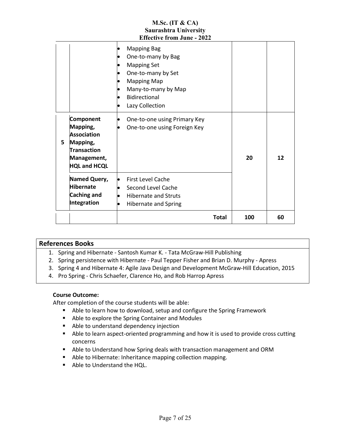|    |                                                                                                                     | M.Sc. (IT $& CA$ )<br><b>Saurashtra University</b><br><b>Effective from June - 2022</b>                                                                                      |     |    |
|----|---------------------------------------------------------------------------------------------------------------------|------------------------------------------------------------------------------------------------------------------------------------------------------------------------------|-----|----|
|    |                                                                                                                     | <b>Mapping Bag</b><br>One-to-many by Bag<br><b>Mapping Set</b><br>One-to-many by Set<br><b>Mapping Map</b><br>Many-to-many by Map<br><b>Bidirectional</b><br>Lazy Collection |     |    |
| 5. | Component<br>Mapping,<br><b>Association</b><br>Mapping,<br><b>Transaction</b><br>Management,<br><b>HQL and HCQL</b> | One-to-one using Primary Key<br>One-to-one using Foreign Key                                                                                                                 | 20  | 12 |
|    | Named Query,<br><b>Hibernate</b><br>Caching and<br>Integration                                                      | <b>First Level Cache</b><br>Second Level Cache<br><b>Hibernate and Struts</b><br><b>Hibernate and Spring</b>                                                                 |     |    |
|    |                                                                                                                     | <b>Total</b>                                                                                                                                                                 | 100 | 60 |

| <b>References Books</b> |                                                                                            |  |  |  |  |
|-------------------------|--------------------------------------------------------------------------------------------|--|--|--|--|
|                         | 1. Spring and Hibernate - Santosh Kumar K. - Tata McGraw-Hill Publishing                   |  |  |  |  |
|                         | 2. Spring persistence with Hibernate - Paul Tepper Fisher and Brian D. Murphy - Apress     |  |  |  |  |
|                         | 3. Spring 4 and Hibernate 4: Agile Java Design and Development McGraw-Hill Education, 2015 |  |  |  |  |
|                         |                                                                                            |  |  |  |  |

4. Pro Spring - Chris Schaefer, Clarence Ho, and Rob Harrop Apress

#### **Course Outcome:**

- Able to learn how to download, setup and configure the Spring Framework
- Able to explore the Spring Container and Modules
- Able to understand dependency injection
- Able to learn aspect-oriented programming and how it is used to provide cross cutting concerns
- Able to Understand how Spring deals with transaction management and ORM
- Able to Hibernate: Inheritance mapping collection mapping.
- Able to Understand the HOL.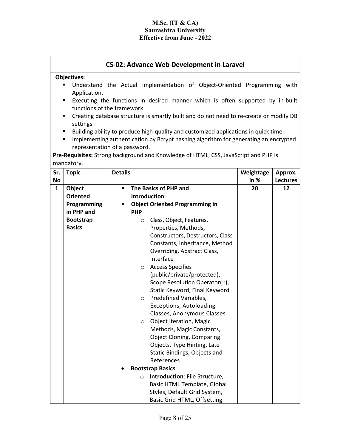┑

|                    | <b>CS-02: Advance Web Development in Laravel</b> |                |                                                                                        |           |                 |
|--------------------|--------------------------------------------------|----------------|----------------------------------------------------------------------------------------|-----------|-----------------|
| <b>Objectives:</b> |                                                  |                |                                                                                        |           |                 |
|                    | Application.                                     |                | Understand the Actual Implementation of Object-Oriented Programming with               |           |                 |
|                    | ٠                                                |                | Executing the functions in desired manner which is often supported by in-built         |           |                 |
|                    | functions of the framework.                      |                |                                                                                        |           |                 |
|                    | ٠                                                |                | Creating database structure is smartly built and do not need to re-create or modify DB |           |                 |
|                    | settings.                                        |                |                                                                                        |           |                 |
|                    | ٠                                                |                | Building ability to produce high-quality and customized applications in quick time.    |           |                 |
|                    | ٠                                                |                | Implementing authentication by Bcrypt hashing algorithm for generating an encrypted    |           |                 |
|                    | representation of a password.                    |                |                                                                                        |           |                 |
|                    | mandatory.                                       |                | Pre-Requisites: Strong background and Knowledge of HTML, CSS, JavaScript and PHP is    |           |                 |
| Sr.                | <b>Topic</b>                                     | <b>Details</b> |                                                                                        | Weightage | Approx.         |
| No                 |                                                  |                |                                                                                        | in $%$    | <b>Lectures</b> |
| 1                  | Object                                           | ٠              | The Basics of PHP and                                                                  | 20        | 12              |
|                    | <b>Oriented</b>                                  |                | Introduction                                                                           |           |                 |
|                    | Programming                                      | ٠              | <b>Object Oriented Programming in</b>                                                  |           |                 |
|                    | in PHP and                                       |                | <b>PHP</b>                                                                             |           |                 |
|                    | <b>Bootstrap</b>                                 |                | Class, Object, Features,<br>$\circ$                                                    |           |                 |
|                    | <b>Basics</b>                                    |                | Properties, Methods,                                                                   |           |                 |
|                    |                                                  |                | Constructors, Destructors, Class                                                       |           |                 |
|                    |                                                  |                | Constants, Inheritance, Method                                                         |           |                 |
|                    |                                                  |                | Overriding, Abstract Class,                                                            |           |                 |
|                    |                                                  |                | Interface                                                                              |           |                 |
|                    |                                                  |                | <b>Access Specifies</b><br>$\circ$                                                     |           |                 |
|                    |                                                  |                | (public/private/protected),                                                            |           |                 |
|                    |                                                  |                | Scope Resolution Operator(::),                                                         |           |                 |
|                    |                                                  |                | Static Keyword, Final Keyword<br>Predefined Variables,                                 |           |                 |
|                    |                                                  |                | $\circ$<br><b>Exceptions, Autoloading</b>                                              |           |                 |
|                    |                                                  |                | Classes, Anonymous Classes                                                             |           |                 |
|                    |                                                  |                | Object Iteration, Magic<br>O                                                           |           |                 |
|                    |                                                  |                | Methods, Magic Constants,                                                              |           |                 |
|                    |                                                  |                | <b>Object Cloning, Comparing</b>                                                       |           |                 |
|                    |                                                  |                | Objects, Type Hinting, Late                                                            |           |                 |
|                    |                                                  |                | Static Bindings, Objects and                                                           |           |                 |
|                    |                                                  |                | References                                                                             |           |                 |
|                    |                                                  |                | <b>Bootstrap Basics</b>                                                                |           |                 |
|                    |                                                  |                | Introduction: File Structure,<br>$\circ$                                               |           |                 |
|                    |                                                  |                | Basic HTML Template, Global                                                            |           |                 |
|                    |                                                  |                | Styles, Default Grid System,                                                           |           |                 |
|                    |                                                  |                | Basic Grid HTML, Offsetting                                                            |           |                 |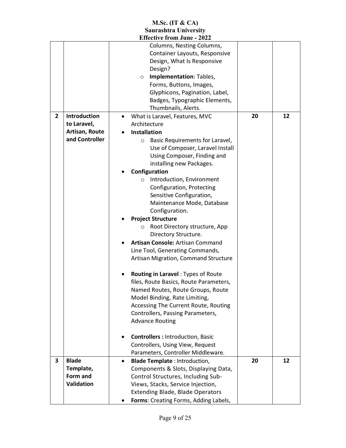|                |                                                            | LIIECUVE IFOIII JUNE - 2022                                                                                                                                                                                                                                                                                                                                                                                                                                                                                                                                                                                                                                                                                                                                                                                                                                                  |    |    |
|----------------|------------------------------------------------------------|------------------------------------------------------------------------------------------------------------------------------------------------------------------------------------------------------------------------------------------------------------------------------------------------------------------------------------------------------------------------------------------------------------------------------------------------------------------------------------------------------------------------------------------------------------------------------------------------------------------------------------------------------------------------------------------------------------------------------------------------------------------------------------------------------------------------------------------------------------------------------|----|----|
|                |                                                            | Columns, Nesting Columns,<br>Container Layouts, Responsive<br>Design, What Is Responsive<br>Design?<br>Implementation: Tables,<br>$\circ$<br>Forms, Buttons, Images,<br>Glyphicons, Pagination, Label,<br>Badges, Typographic Elements,<br>Thumbnails, Alerts.                                                                                                                                                                                                                                                                                                                                                                                                                                                                                                                                                                                                               |    |    |
| $\overline{2}$ | Introduction                                               | What is Laravel, Features, MVC                                                                                                                                                                                                                                                                                                                                                                                                                                                                                                                                                                                                                                                                                                                                                                                                                                               | 20 | 12 |
|                | to Laravel,                                                | Architecture                                                                                                                                                                                                                                                                                                                                                                                                                                                                                                                                                                                                                                                                                                                                                                                                                                                                 |    |    |
|                | Artisan, Route                                             | <b>Installation</b>                                                                                                                                                                                                                                                                                                                                                                                                                                                                                                                                                                                                                                                                                                                                                                                                                                                          |    |    |
|                | and Controller                                             | Basic Requirements for Laravel,<br>$\circ$<br>Use of Composer, Laravel Install<br>Using Composer, Finding and<br>installing new Packages.<br>Configuration<br>Introduction, Environment<br>$\circ$<br>Configuration, Protecting<br>Sensitive Configuration,<br>Maintenance Mode, Database<br>Configuration.<br><b>Project Structure</b><br>Root Directory structure, App<br>$\circ$<br>Directory Structure.<br><b>Artisan Console: Artisan Command</b><br>Line Tool, Generating Commands,<br>Artisan Migration, Command Structure<br>Routing in Laravel: Types of Route<br>files, Route Basics, Route Parameters,<br>Named Routes, Route Groups, Route<br>Model Binding, Rate Limiting,<br>Accessing The Current Route, Routing<br>Controllers, Passing Parameters,<br><b>Advance Routing</b><br><b>Controllers: Introduction, Basic</b><br>Controllers, Using View, Request |    |    |
|                |                                                            | Parameters, Controller Middleware.                                                                                                                                                                                                                                                                                                                                                                                                                                                                                                                                                                                                                                                                                                                                                                                                                                           |    |    |
| 3              | <b>Blade</b><br>Template,<br>Form and<br><b>Validation</b> | <b>Blade Template: Introduction,</b><br>$\bullet$<br>Components & Slots, Displaying Data,<br>Control Structures, Including Sub-<br>Views, Stacks, Service Injection,<br><b>Extending Blade, Blade Operators</b><br>Forms: Creating Forms, Adding Labels,                                                                                                                                                                                                                                                                                                                                                                                                                                                                                                                                                                                                                     | 20 | 12 |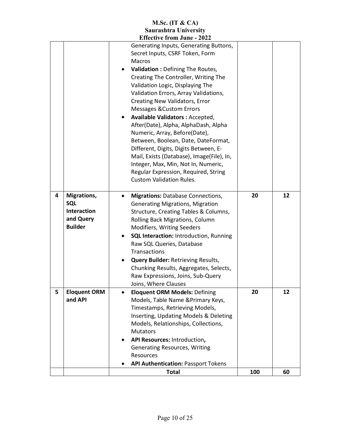|   |                                                                  | M.Sc. (IT $& CA$ )                                                                                                                                                                                                                                                                                                                                                                                                                                                                                                                                                                                                              |     |    |
|---|------------------------------------------------------------------|---------------------------------------------------------------------------------------------------------------------------------------------------------------------------------------------------------------------------------------------------------------------------------------------------------------------------------------------------------------------------------------------------------------------------------------------------------------------------------------------------------------------------------------------------------------------------------------------------------------------------------|-----|----|
|   |                                                                  | <b>Saurashtra University</b>                                                                                                                                                                                                                                                                                                                                                                                                                                                                                                                                                                                                    |     |    |
|   |                                                                  | <b>Effective from June - 2022</b><br>Generating Inputs, Generating Buttons,<br>Secret Inputs, CSRF Token, Form<br><b>Macros</b><br><b>Validation : Defining The Routes,</b><br>$\bullet$<br>Creating The Controller, Writing The<br>Validation Logic, Displaying The<br>Validation Errors, Array Validations,<br>Creating New Validators, Error<br><b>Messages &amp; Custom Errors</b><br>Available Validators: Accepted,<br>After(Date), Alpha, AlphaDash, Alpha<br>Numeric, Array, Before(Date),<br>Between, Boolean, Date, DateFormat,<br>Different, Digits, Digits Between, E-<br>Mail, Exists (Database), Image(File), In, |     |    |
|   |                                                                  | Integer, Max, Min, Not In, Numeric,<br>Regular Expression, Required, String<br><b>Custom Validation Rules.</b>                                                                                                                                                                                                                                                                                                                                                                                                                                                                                                                  |     |    |
| 4 | Migrations,<br>SQL<br>Interaction<br>and Query<br><b>Builder</b> | <b>Migrations: Database Connections,</b><br><b>Generating Migrations, Migration</b><br>Structure, Creating Tables & Columns,<br>Rolling Back Migrations, Column<br><b>Modifiers, Writing Seeders</b><br><b>SQL Interaction: Introduction, Running</b><br>Raw SQL Queries, Database<br>Transactions<br><b>Query Builder: Retrieving Results,</b><br>Chunking Results, Aggregates, Selects,<br>Raw Expressions, Joins, Sub-Query<br>Joins, Where Clauses                                                                                                                                                                          | 20  | 12 |
| 5 | <b>Eloquent ORM</b><br>and API                                   | <b>Eloquent ORM Models: Defining</b><br>$\bullet$<br>Models, Table Name & Primary Keys,<br>Timestamps, Retrieving Models,<br>Inserting, Updating Models & Deleting<br>Models, Relationships, Collections,<br><b>Mutators</b><br>API Resources: Introduction,<br>$\bullet$<br><b>Generating Resources, Writing</b><br>Resources<br><b>API Authentication: Passport Tokens</b>                                                                                                                                                                                                                                                    | 20  | 12 |
|   |                                                                  | <b>Total</b>                                                                                                                                                                                                                                                                                                                                                                                                                                                                                                                                                                                                                    | 100 | 60 |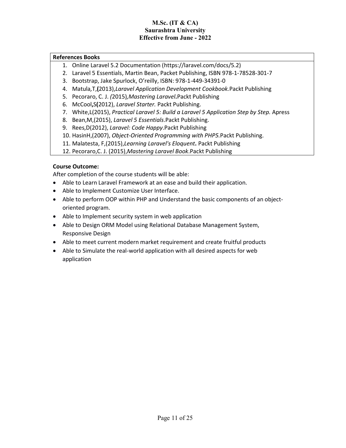#### **References Books**

- 1. Online Laravel 5.2 Documentation (https://laravel.com/docs/5.2)
- 2. Laravel 5 Essentials, Martin Bean, Packet Publishing, ISBN 978-1-78528-301-7
- 3. Bootstrap, Jake Spurlock, O'reilly, ISBN: 978-1-449-34391-0
- 4. Matula*,*T,**(**2013),*Laravel Application Development Cookbook.*Packt Publishing
- 5. Pecoraro, C. J. *(*2015)*,Mastering Laravel***.**Packt Publishing
- 6. McCool**,**S**(**2012), *Laravel Starter.* Packt Publishing.
- 7. White,L(2015), *Practical Laravel 5: Build a Laravel 5 Application Step by Step.* Apress
- 8. Bean,M,(2015), *Laravel 5 Essentials*.Packt Publishing.
- 9. Rees,D(2012), *Laravel: Code Happy*.Packt Publishing
- 10. HasinH,(2007), *Object-Oriented Programming with PHP5.*Packt Publishing.
- 11. Malatesta, F,(2015),*Learning Laravel's Eloquent***.** Packt Publishing
- 12. Pecoraro,C. J. (2015),*Mastering Laravel Book*.Packt Publishing

## **Course Outcome:**

- Able to Learn Laravel Framework at an ease and build their application.
- Able to Implement Customize User Interface.
- Able to perform OOP within PHP and Understand the basic components of an objectoriented program.
- Able to Implement security system in web application
- Able to Design ORM Model using Relational Database Management System, Responsive Design
- Able to meet current modern market requirement and create fruitful products
- Able to Simulate the real-world application with all desired aspects for web application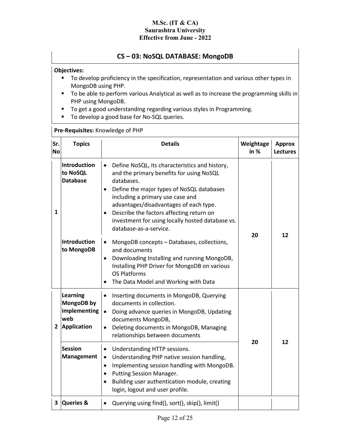## **CS – 03: NoSQL DATABASE: MongoDB**

### **Objectives:**

- **To develop proficiency in the specification, representation and various other types in** MongoDB using PHP.
- **To be able to perform various Analytical as well as to increase the programming skills in** PHP using MongoDB.
- To get a good understanding regarding various styles in Programming.
- To develop a good base for No-SQL queries.

### **Pre-Requisites:** Knowledge of PHP

| Sr.<br><b>No</b> | <b>Topics</b>                                                         | <b>Details</b>                                                                                                                                                                                                                                                                                                                                                                          | Weightage<br>in $%$ | <b>Approx</b><br><b>Lectures</b> |
|------------------|-----------------------------------------------------------------------|-----------------------------------------------------------------------------------------------------------------------------------------------------------------------------------------------------------------------------------------------------------------------------------------------------------------------------------------------------------------------------------------|---------------------|----------------------------------|
| 1                | <b>Introduction</b><br>to NoSQL<br><b>Database</b>                    | Define NoSQL, its characteristics and history,<br>$\bullet$<br>and the primary benefits for using NoSQL<br>databases.<br>Define the major types of NoSQL databases<br>$\bullet$<br>including a primary use case and<br>advantages/disadvantages of each type.<br>Describe the factors affecting return on<br>investment for using locally hosted database vs.<br>database-as-a-service. | 20                  |                                  |
|                  | <b>Introduction</b><br>to MongoDB                                     | MongoDB concepts - Databases, collections,<br>٠<br>and documents<br>Downloading Installing and running MongoDB,<br>$\bullet$<br>Installing PHP Driver for MongoDB on various<br><b>OS Platforms</b><br>The Data Model and Working with Data<br>٠                                                                                                                                        |                     | 12                               |
|                  | <b>Learning</b><br>MongoDB by<br>implementing<br>web<br>2 Application | Inserting documents in MongoDB, Querying<br>$\bullet$<br>documents in collection.<br>Doing advance queries in MongoDB, Updating<br>$\bullet$<br>documents MongoDB,<br>Deleting documents in MongoDB, Managing<br>$\bullet$<br>relationships between documents                                                                                                                           |                     |                                  |
|                  | <b>Session</b><br><b>Management</b>                                   | Understanding HTTP sessions.<br>$\bullet$<br>Understanding PHP native session handling,<br>$\bullet$<br>Implementing session handling with MongoDB.<br>$\bullet$<br>Putting Session Manager.<br>Building user authentication module, creating<br>login, logout and user profile.                                                                                                        | 20                  | 12                               |
|                  | 3 Queries &                                                           | Querying using find(), sort(), skip(), limit()<br>$\bullet$                                                                                                                                                                                                                                                                                                                             |                     |                                  |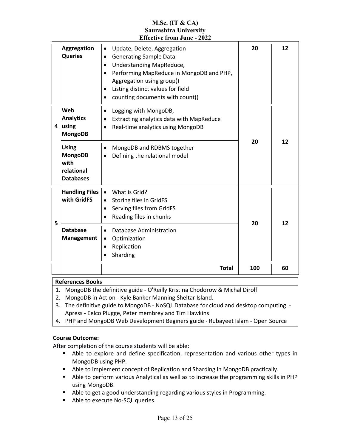|   |                                                                          | <b>Saurashtra University</b><br><b>Effective from June - 2022</b>                                                                                                                                                                                                                                    |     |    |
|---|--------------------------------------------------------------------------|------------------------------------------------------------------------------------------------------------------------------------------------------------------------------------------------------------------------------------------------------------------------------------------------------|-----|----|
|   | <b>Aggregation</b><br><b>Queries</b>                                     | Update, Delete, Aggregation<br>$\bullet$<br>Generating Sample Data.<br>$\bullet$<br>Understanding MapReduce,<br>$\bullet$<br>Performing MapReduce in MongoDB and PHP,<br>$\bullet$<br>Aggregation using group()<br>Listing distinct values for field<br>$\bullet$<br>counting documents with count() | 20  | 12 |
| 4 | Web<br><b>Analytics</b><br>using<br><b>MongoDB</b>                       | Logging with MongoDB,<br>$\bullet$<br>Extracting analytics data with MapReduce<br>$\bullet$<br>Real-time analytics using MongoDB<br>$\bullet$                                                                                                                                                        | 20  |    |
|   | <b>Using</b><br><b>MongoDB</b><br>with<br>relational<br><b>Databases</b> | MongoDB and RDBMS together<br>$\bullet$<br>Defining the relational model<br>$\bullet$                                                                                                                                                                                                                |     | 12 |
| 5 | <b>Handling Files</b><br>with GridFS                                     | What is Grid?<br>$\bullet$<br>Storing files in GridFS<br>$\bullet$<br>Serving files from GridFS<br>$\bullet$<br>Reading files in chunks<br>$\bullet$                                                                                                                                                 | 20  | 12 |
|   | <b>Database</b><br><b>Management</b>                                     | Database Administration<br>$\bullet$<br>Optimization<br>$\bullet$<br>Replication<br>$\bullet$<br>Sharding                                                                                                                                                                                            |     |    |
|   |                                                                          | <b>Total</b>                                                                                                                                                                                                                                                                                         | 100 | 60 |

**M.Sc. (IT & CA)**

#### **References Books**

- 1. MongoDB the definitive guide O'Reilly Kristina Chodorow & Michal Dirolf
- 2. MongoDB in Action Kyle Banker Manning Sheltar Island.
- 3. The definitive guide to MongoDB NoSQL Database for cloud and desktop computing. Apress - Eelco Plugge, Peter membrey and Tim Hawkins
- 4. PHP and MongoDB Web Development Beginers guide Rubayeet Islam Open Source

#### **Course Outcome:**

- Able to explore and define specification, representation and various other types in MongoDB using PHP.
- Able to implement concept of Replication and Sharding in MongoDB practically.
- Able to perform various Analytical as well as to increase the programming skills in PHP using MongoDB.
- Able to get a good understanding regarding various styles in Programming.
- Able to execute No-SQL queries.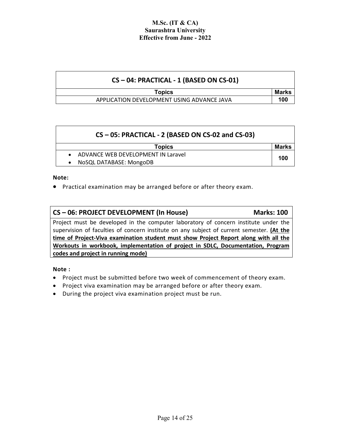| $CS - 04$ : PRACTICAL - 1 (BASED ON CS-01) |       |
|--------------------------------------------|-------|
| <b>Topics</b>                              | Marks |
| APPLICATION DEVELOPMENT USING ADVANCE JAVA | 100   |

| CS-05: PRACTICAL - 2 (BASED ON CS-02 and CS-03) |                                      |       |  |
|-------------------------------------------------|--------------------------------------|-------|--|
|                                                 | <b>Topics</b>                        | Marks |  |
|                                                 | • ADVANCE WEB DEVELOPMENT IN Laravel | 100   |  |
|                                                 | NoSQL DATABASE: MongoDB              |       |  |

**Note:**

• Practical examination may be arranged before or after theory exam.

## **CS – 06: PROJECT DEVELOPMENT (In House) Marks: 100**

Project must be developed in the computer laboratory of concern institute under the supervision of faculties of concern institute on any subject of current semester. **(At the time of Project-Viva examination student must show Project Report along with all the Workouts in workbook, implementation of project in SDLC, Documentation, Program codes and project in running mode)**

**Note :** 

- Project must be submitted before two week of commencement of theory exam.
- Project viva examination may be arranged before or after theory exam.
- During the project viva examination project must be run.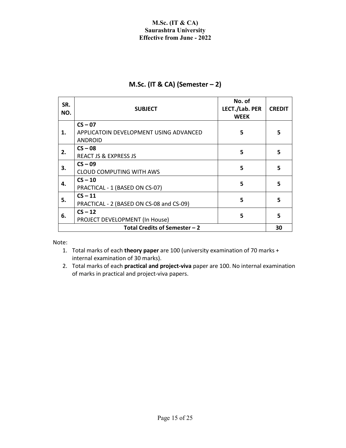## **M.Sc. (IT & CA) (Semester – 2)**

| SR.<br>NO. | <b>SUBJECT</b>                                                        | No. of<br>LECT./Lab. PER<br><b>WEEK</b> | <b>CREDIT</b> |
|------------|-----------------------------------------------------------------------|-----------------------------------------|---------------|
| 1.         | $CS - 07$<br>APPLICATOIN DEVELOPMENT USING ADVANCED<br><b>ANDROID</b> | 5                                       | 5             |
| 2.         | $CS - 08$<br><b>REACT JS &amp; EXPRESS JS</b>                         | 5                                       | 5             |
| 3.         | $CS - 09$<br><b>CLOUD COMPUTING WITH AWS</b>                          | 5                                       | 5             |
| 4.         | $CS - 10$<br>PRACTICAL - 1 (BASED ON CS-07)                           | 5                                       | 5             |
| 5.         | $CS - 11$<br>PRACTICAL - 2 (BASED ON CS-08 and CS-09)                 | 5                                       | 5             |
| 6.         | $CS - 12$<br>PROJECT DEVELOPMENT (In House)                           | 5                                       | 5             |
|            | Total Credits of Semester - 2                                         |                                         | 30            |

Note:

- 1. Total marks of each **theory paper** are 100 (university examination of 70 marks + internal examination of 30 marks).
- 2. Total marks of each **practical and project-viva** paper are 100. No internal examination of marks in practical and project-viva papers.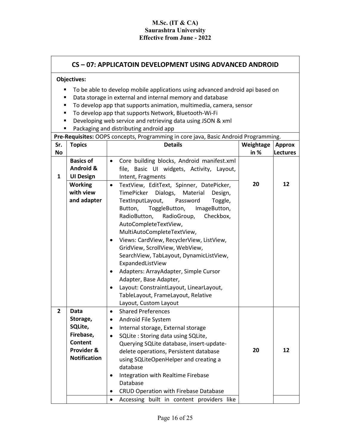## **CS – 07: APPLICATOIN DEVELOPMENT USING ADVANCED ANDROID**

#### **Objectives:**

- **To be able to develop mobile applications using advanced android api based on**
- Data storage in external and internal memory and database
- To develop app that supports animation, multimedia, camera, sensor
- To develop app that supports Network, Bluetooth-Wi-Fi
- Developing web service and retrieving data using JSON & xml
- Packaging and distributing android app

**Pre-Requisites:** OOPS concepts, Programming in core java, Basic Android Programming.

| Sr.            | <b>Topics</b>                                                                                          | <b>Details</b>                                                                                                                                                                                                                                                                                                                                                                                                                                                                                                                                                                                                                                       | Weightage | <b>Approx</b>   |
|----------------|--------------------------------------------------------------------------------------------------------|------------------------------------------------------------------------------------------------------------------------------------------------------------------------------------------------------------------------------------------------------------------------------------------------------------------------------------------------------------------------------------------------------------------------------------------------------------------------------------------------------------------------------------------------------------------------------------------------------------------------------------------------------|-----------|-----------------|
| <b>No</b>      |                                                                                                        |                                                                                                                                                                                                                                                                                                                                                                                                                                                                                                                                                                                                                                                      | in $%$    | <b>Lectures</b> |
| 1              | <b>Basics of</b><br>Android &<br><b>UI Design</b>                                                      | Core building blocks, Android manifest.xml<br>$\bullet$<br>file, Basic UI widgets, Activity, Layout,<br>Intent, Fragments                                                                                                                                                                                                                                                                                                                                                                                                                                                                                                                            |           |                 |
|                | <b>Working</b><br>with view<br>and adapter                                                             | TextView, EditText, Spinner, DatePicker,<br>$\bullet$<br>Dialogs,<br>TimePicker<br>Material<br>Design,<br>TextInputLayout,<br>Password<br>Toggle,<br>ToggleButton,<br>Button,<br>ImageButton,<br>Checkbox,<br>RadioButton,<br>RadioGroup,<br>AutoCompleteTextView,<br>MultiAutoCompleteTextView,<br>Views: CardView, RecyclerView, ListView,<br>$\bullet$<br>GridView, ScrollView, WebView,<br>SearchView, TabLayout, DynamicListView,<br>ExpandedListView<br>Adapters: ArrayAdapter, Simple Cursor<br>$\bullet$<br>Adapter, Base Adapter,<br>Layout: ConstraintLayout, LinearLayout,<br>TableLayout, FrameLayout, Relative<br>Layout, Custom Layout | 20        | 12              |
| $\overline{2}$ | <b>Data</b><br>Storage,<br>SQLite,<br>Firebase,<br><b>Content</b><br>Provider &<br><b>Notification</b> | <b>Shared Preferences</b><br>$\bullet$<br>Android File System<br>$\bullet$<br>Internal storage, External storage<br>$\bullet$<br>SQLite: Storing data using SQLite,<br>$\bullet$<br>Querying SQLite database, insert-update-<br>delete operations, Persistent database<br>using SQLiteOpenHelper and creating a<br>database<br>Integration with Realtime Firebase<br>$\bullet$<br>Database<br><b>CRUD Operation with Firebase Database</b><br>$\bullet$                                                                                                                                                                                              | 20        | 12              |
|                |                                                                                                        | Accessing built in content providers like<br>$\bullet$                                                                                                                                                                                                                                                                                                                                                                                                                                                                                                                                                                                               |           |                 |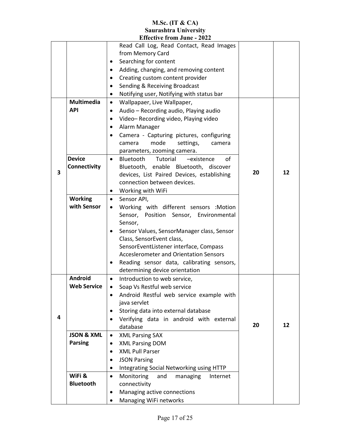|   |                       | EUCLUVE II VIII JUNE - 4044                                                 |    |    |
|---|-----------------------|-----------------------------------------------------------------------------|----|----|
|   |                       | Read Call Log, Read Contact, Read Images                                    |    |    |
|   |                       | from Memory Card                                                            |    |    |
|   |                       | Searching for content<br>٠                                                  |    |    |
|   |                       | Adding, changing, and removing content<br>$\bullet$                         |    |    |
|   |                       | Creating custom content provider<br>$\bullet$                               |    |    |
|   |                       | Sending & Receiving Broadcast<br>$\bullet$                                  |    |    |
|   |                       | Notifying user, Notifying with status bar<br>$\bullet$                      |    |    |
|   | <b>Multimedia</b>     | Wallpapaer, Live Wallpaper,<br>$\bullet$                                    |    |    |
|   | <b>API</b>            | Audio - Recording audio, Playing audio<br>$\bullet$                         |    |    |
|   |                       | Video-Recording video, Playing video<br>$\bullet$                           |    |    |
|   |                       | Alarm Manager<br>$\bullet$                                                  |    |    |
|   |                       | Camera - Capturing pictures, configuring<br>$\bullet$                       |    |    |
|   |                       | mode<br>settings,<br>camera<br>camera                                       |    |    |
|   |                       | parameters, zooming camera.                                                 |    |    |
|   | <b>Device</b>         | Bluetooth<br>Tutorial<br>οf<br>-existence<br>$\bullet$                      |    |    |
| 3 | Connectivity          | Bluetooth, enable Bluetooth, discover                                       | 20 | 12 |
|   |                       | devices, List Paired Devices, establishing                                  |    |    |
|   |                       | connection between devices.                                                 |    |    |
|   |                       | Working with WiFi<br>٠                                                      |    |    |
|   | <b>Working</b>        | Sensor API,<br>$\bullet$                                                    |    |    |
|   | with Sensor           | Working with different sensors :Motion<br>$\bullet$                         |    |    |
|   |                       | Sensor, Position Sensor, Environmental                                      |    |    |
|   |                       | Sensor,                                                                     |    |    |
|   |                       | Sensor Values, SensorManager class, Sensor<br>$\bullet$                     |    |    |
|   |                       | Class, SensorEvent class,                                                   |    |    |
|   |                       | SensorEventListener interface, Compass                                      |    |    |
|   |                       | <b>Acceslerometer and Orientation Sensors</b>                               |    |    |
|   |                       | Reading sensor data, calibrating sensors,<br>determining device orientation |    |    |
|   | <b>Android</b>        | Introduction to web service,<br>$\bullet$                                   |    |    |
|   | <b>Web Service</b>    | Soap Vs Restful web service<br>$\bullet$                                    |    |    |
|   |                       | Android Restful web service example with                                    |    |    |
|   |                       | java servlet                                                                |    |    |
|   |                       | Storing data into external database<br>٠                                    |    |    |
| 4 |                       | Verifying data in android with external<br>$\bullet$                        |    |    |
|   |                       | database                                                                    | 20 | 12 |
|   | <b>JSON &amp; XML</b> | <b>XML Parsing SAX</b><br>$\bullet$                                         |    |    |
|   | <b>Parsing</b>        | <b>XML Parsing DOM</b><br>$\bullet$                                         |    |    |
|   |                       | <b>XML Pull Parser</b><br>$\bullet$                                         |    |    |
|   |                       | <b>JSON Parsing</b><br>$\bullet$                                            |    |    |
|   |                       | Integrating Social Networking using HTTP<br>٠                               |    |    |
|   | WiFi &                | Monitoring<br>and<br>managing<br>Internet<br>$\bullet$                      |    |    |
|   | <b>Bluetooth</b>      | connectivity                                                                |    |    |
|   |                       | Managing active connections<br>٠                                            |    |    |
|   |                       | Managing WiFi networks                                                      |    |    |
|   |                       |                                                                             |    |    |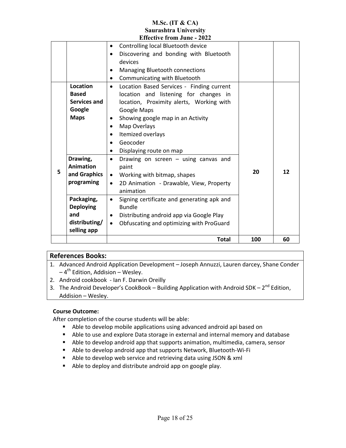|   |                  | Effective ifom June - 2022                              |     |    |
|---|------------------|---------------------------------------------------------|-----|----|
|   |                  | Controlling local Bluetooth device                      |     |    |
|   |                  | Discovering and bonding with Bluetooth<br>$\bullet$     |     |    |
|   |                  | devices                                                 |     |    |
|   |                  | Managing Bluetooth connections<br>٠                     |     |    |
|   |                  | Communicating with Bluetooth<br>$\bullet$               |     |    |
|   | <b>Location</b>  | Location Based Services - Finding current<br>$\bullet$  |     |    |
|   | <b>Based</b>     | location and listening for changes in                   |     |    |
|   | Services and     | location, Proximity alerts, Working with                |     |    |
|   | Google           | Google Maps                                             |     |    |
|   | <b>Maps</b>      | Showing google map in an Activity<br>$\bullet$          |     |    |
|   |                  | Map Overlays<br>$\bullet$                               |     |    |
|   |                  | Itemized overlays<br>$\bullet$                          |     |    |
|   |                  | Geocoder<br>$\bullet$                                   |     |    |
|   |                  | Displaying route on map<br>٠                            |     |    |
|   | Drawing,         | Drawing on screen $-$ using canvas and<br>$\bullet$     |     |    |
|   | <b>Animation</b> | paint                                                   |     |    |
| 5 | and Graphics     | Working with bitmap, shapes<br>$\bullet$                | 20  | 12 |
|   | programing       | 2D Animation - Drawable, View, Property<br>$\bullet$    |     |    |
|   |                  | animation                                               |     |    |
|   | Packaging,       | Signing certificate and generating apk and<br>$\bullet$ |     |    |
|   | <b>Deploying</b> | <b>Bundle</b>                                           |     |    |
|   | and              | Distributing android app via Google Play<br>$\bullet$   |     |    |
|   | distributing/    | Obfuscating and optimizing with ProGuard<br>$\bullet$   |     |    |
|   | selling app      |                                                         |     |    |
|   |                  | <b>Total</b>                                            | 100 | 60 |
|   |                  |                                                         |     |    |

## **References Books:**

- 1. Advanced Android Application Development Joseph Annuzzi, Lauren darcey, Shane Conder  $-4^{th}$  Edition, Addision – Wesley.
- 2. Android cookbook Ian F. Darwin Oreilly
- 3. The Android Developer's CookBook Building Application with Android SDK  $2^{nd}$  Edition, Addision – Wesley.

## **Course Outcome:**

- Able to develop mobile applications using advanced android api based on
- Able to use and explore Data storage in external and internal memory and database
- Able to develop android app that supports animation, multimedia, camera, sensor
- Able to develop android app that supports Network, Bluetooth-Wi-Fi
- Able to develop web service and retrieving data using JSON & xml
- Able to deploy and distribute android app on google play.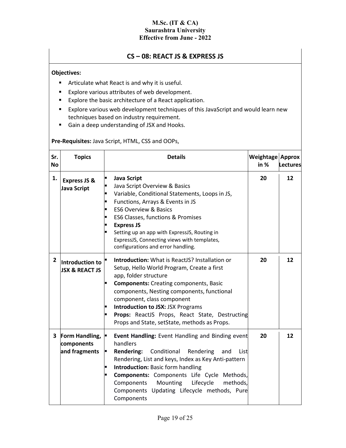## **CS – 08: REACT JS & EXPRESS JS**

## **Objectives:**

- **Articulate what React is and why it is useful.**
- **Explore various attributes of web development.**
- Explore the basic architecture of a React application.
- Explore various web development techniques of this JavaScript and would learn new techniques based on industry requirement.
- Gain a deep understanding of JSX and Hooks.

## **Pre-Requisites:** Java Script, HTML, CSS and OOPs,

| Sr.<br>No    | <b>Topics</b>                                 | <b>Details</b>                                                                                                                                                                                                                                                                                                                                                                                                 | Weightage Approx<br>in $%$ | Lectures |
|--------------|-----------------------------------------------|----------------------------------------------------------------------------------------------------------------------------------------------------------------------------------------------------------------------------------------------------------------------------------------------------------------------------------------------------------------------------------------------------------------|----------------------------|----------|
| 1.           | <b>Express JS &amp;</b><br>Java Script        | <b>Java Script</b><br>п<br>Java Script Overview & Basics<br>Variable, Conditional Statements, Loops in JS,<br>Functions, Arrays & Events in JS<br>Ξ<br><b>ES6 Overview &amp; Basics</b><br>■<br>ES6 Classes, functions & Promises<br><b>Express JS</b><br>$\blacksquare$<br>Setting up an app with ExpressJS, Routing in<br>ExpressJS, Connecting views with templates,<br>configurations and error handling.  | 20                         | 12       |
| $\mathbf{2}$ | Introduction to<br><b>JSX &amp; REACT JS</b>  | <b>Introduction:</b> What is ReactJS? Installation or<br>Setup, Hello World Program, Create a first<br>app, folder structure<br><b>Components:</b> Creating components, Basic<br>components, Nesting components, functional<br>component, class component<br><b>Introduction to JSX: JSX Programs</b><br><b>Props:</b> ReactJS Props, React State, Destructing<br>Props and State, setState, methods as Props. | 20                         | 12       |
| 3            | Form Handling,<br>components<br>and fragments | Event Handling: Event Handling and Binding event<br>handlers<br><b>Rendering:</b><br>Conditional<br>Rendering<br>and<br>List<br>Р<br>Rendering, List and keys, Index as Key Anti-pattern<br><b>Introduction: Basic form handling</b><br>Components: Components Life Cycle Methods,<br>Lifecycle<br>methods,<br>Components<br>Mounting<br>Components Updating Lifecycle methods, Pure<br>Components             | 20                         | 12       |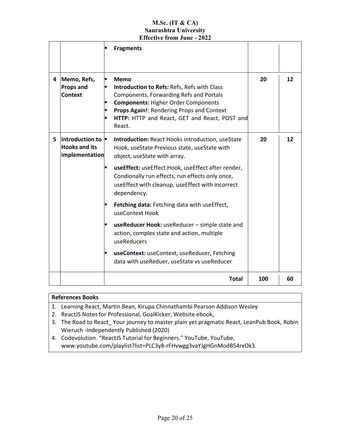|   |                                                                          | <b>Fragments</b>                                                                                                                                                                                                                                                                                                                                                                                                                                                                                                                                                                                                                         |     |    |
|---|--------------------------------------------------------------------------|------------------------------------------------------------------------------------------------------------------------------------------------------------------------------------------------------------------------------------------------------------------------------------------------------------------------------------------------------------------------------------------------------------------------------------------------------------------------------------------------------------------------------------------------------------------------------------------------------------------------------------------|-----|----|
| 4 | Memo, Refs,<br>Props and<br>Context                                      | E<br><b>Memo</b><br>Introduction to Refs: Refs, Refs with Class<br>$\blacksquare$<br>Components, Forwarding Refs and Portals<br><b>Components: Higher Order Components</b><br>п<br>Props Again!: Rendering Props and Context<br>п<br>HTTP: HTTP and React, GET and React, POST and<br>React.                                                                                                                                                                                                                                                                                                                                             | 20  | 12 |
| 5 | Introduction to $\blacksquare$<br><b>Hooks and its</b><br>implementation | <b>Introduction: React Hooks introduction, useState</b><br>Hook, useState Previous state, useState with<br>object, useState with array.<br>useEffect: useEffect Hook, useEffect after render,<br>Condionally run effects, run effects only once,<br>useEffect with cleanup, useEffect with incorrect<br>dependency.<br>Fetching data: Fetching data with useEffect,<br>$\blacksquare$<br>useContext Hook<br>useReducer Hook: useReducer - simple state and<br>action, complex state and action, multiple<br>useReducers<br>useContext: useContext, useReducer, Fetching<br>$\blacksquare$<br>data with useReduer, useState vs useReducer | 20  | 12 |
|   |                                                                          | <b>Total</b>                                                                                                                                                                                                                                                                                                                                                                                                                                                                                                                                                                                                                             | 100 | 60 |

## **References Books**

- 1. Learning React, Martin Bean, Kirupa Chinnathambi Pearson Addison Wesley
- 2. ReactJS Notes for Professional, GoalKicker, Website ebook,
- 3. The Road to React\_ Your journey to master plain yet pragmatic React, LeanPub Book, Robin Wieruch -Independently Published (2020)
- 4. Codevolution. "ReactJS Tutorial for Beginners." YouTube, YouTube, www.youtube.com/playlist?list=PLC3y8-rFHvwgg3vaYJgHGnModB54rxOk3.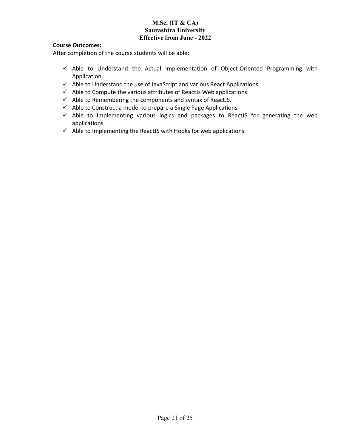## **Course Outcomes:**

- $\checkmark$  Able to Understand the Actual Implementation of Object-Oriented Programming with Application.
- $\checkmark$  Able to Understand the use of JavaScript and various React Applications
- $\checkmark$  Able to Compute the various attributes of ReactJs Web applications
- $\checkmark$  Able to Remembering the components and syntax of ReactJS.
- $\checkmark$  Able to Construct a model to prepare a Single Page Applications
- $\checkmark$  Able to Implementing various logics and packages to ReactJS for generating the web applications.
- $\checkmark$  Able to Implementing the ReactJS with Hooks for web applications.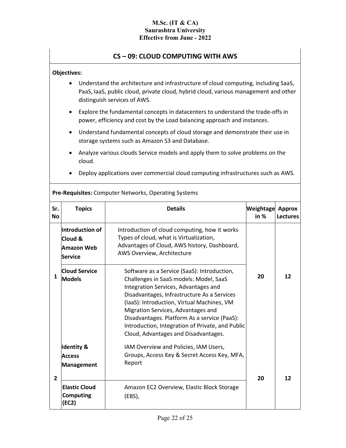## **CS – 09: CLOUD COMPUTING WITH AWS**

### **Objectives:**

- Understand the architecture and infrastructure of cloud computing, including SaaS, PaaS, IaaS, public cloud, private cloud, hybrid cloud, various management and other distinguish services of AWS.
- Explore the fundamental concepts in datacenters to understand the trade-offs in power, efficiency and cost by the Load balancing approach and instances.
- Understand fundamental concepts of cloud storage and demonstrate their use in storage systems such as Amazon S3 and Database.
- Analyze various clouds Service models and apply them to solve problems on the cloud.
- Deploy applications over commercial cloud computing infrastructures such as AWS.

| Sr.<br><b>No</b> | <b>Topics</b>                                              | <b>Details</b>                                                                                                                                                                                                                                                                                                                                                                                               | Weightage<br>in $%$ | <b>Approx</b><br><b>Lectures</b> |
|------------------|------------------------------------------------------------|--------------------------------------------------------------------------------------------------------------------------------------------------------------------------------------------------------------------------------------------------------------------------------------------------------------------------------------------------------------------------------------------------------------|---------------------|----------------------------------|
|                  | Introduction of<br>Cloud &<br>Amazon Web<br><b>Service</b> | Introduction of cloud computing, how it works<br>Types of cloud, what is Virtualization,<br>Advantages of Cloud, AWS history, Dashboard,<br>AWS Overview, Architecture                                                                                                                                                                                                                                       |                     |                                  |
| 1                | <b>Cloud Service</b><br><b>Models</b>                      | Software as a Service (SaaS): Introduction,<br>Challenges in SaaS models: Model, SaaS<br>Integration Services, Advantages and<br>Disadvantages, Infrastructure As a Services<br>(IaaS): Introduction, Virtual Machines, VM<br>Migration Services, Advantages and<br>Disadvantages. Platform As a service (PaaS):<br>Introduction, Integration of Private, and Public<br>Cloud, Advantages and Disadvantages. | 20                  | 12                               |
| $\overline{2}$   | <b>Identity &amp;</b><br><b>Access</b><br>Management       | IAM Overview and Policies, IAM Users,<br>Groups, Access Key & Secret Access Key, MFA,<br>Report                                                                                                                                                                                                                                                                                                              | 20                  | 12                               |
|                  | <b>Elastic Cloud</b><br><b>Computing</b><br>(EC2)          | Amazon EC2 Overview, Elastic Block Storage<br>(EBS),                                                                                                                                                                                                                                                                                                                                                         |                     |                                  |

**Pre-Requisites:** Computer Networks, Operating Systems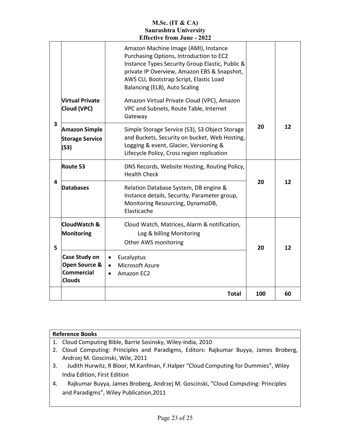|   |                                                                      | Total                                                                                                                                                                                   | 100 | 60 |
|---|----------------------------------------------------------------------|-----------------------------------------------------------------------------------------------------------------------------------------------------------------------------------------|-----|----|
|   | Case Study on<br>Open Source &<br><b>Commercial</b><br><b>Clouds</b> | Eucalyptus<br>$\bullet$<br>Microsoft Azure<br>$\bullet$<br>Amazon EC2<br>$\bullet$                                                                                                      |     |    |
| 5 | CloudWatch &<br>Monitoring                                           | Cloud Watch, Matrices, Alarm & notification,<br>Log & billing Monitoring<br>Other AWS monitoring                                                                                        | 20  | 12 |
| 4 | <b>Databases</b>                                                     | Relation Database System, DB engine &<br>Instance details, Security, Parameter group,<br>Monitoring Resourcing, DynamoDB,<br>Elasticache                                                | 20  | 12 |
|   | Route 53                                                             | DNS Records, Website Hosting, Routing Policy,<br><b>Health Check</b>                                                                                                                    |     |    |
| 3 | <b>Amazon Simple</b><br><b>Storage Service</b><br>(S3)               | Simple Storage Service (S3), S3 Object Storage<br>and Buckets, Security on bucket, Web Hosting,<br>Logging & event, Glacier, Versioning &<br>Lifecycle Policy, Cross region replication | 20  | 12 |
|   | <b>Virtual Private</b><br>Cloud (VPC)                                | AWS CLI, Bootstrap Script, Elastic Load<br>Balancing (ELB), Auto Scaling<br>Amazon Virtual Private Cloud (VPC), Amazon<br>VPC and Subnets, Route Table, Internet<br>Gateway             |     |    |
|   |                                                                      | Amazon Machine Image (AMI), Instance<br>Purchasing Options, Introduction to EC2<br>Instance Types Security Group Elastic, Public &<br>private IP Overview, Amazon EBS & Snapshot,       |     |    |
|   |                                                                      |                                                                                                                                                                                         |     |    |

|    | <b>Reference Books</b>                                                                |  |  |  |
|----|---------------------------------------------------------------------------------------|--|--|--|
|    | 1. Cloud Computing Bible, Barrie Sosinsky, Wiley-India, 2010                          |  |  |  |
|    | 2. Cloud Computing: Principles and Paradigms, Editors: Rajkumar Buyya, James Broberg, |  |  |  |
|    | Andrzej M. Goscinski, Wile, 2011                                                      |  |  |  |
| 3. | Judith Hurwitz, R Bloor, M.Kanfman, F.Halper "Cloud Computing for Dummies", Wiley     |  |  |  |
|    | India Edition, First Edition                                                          |  |  |  |
| 4. | Rajkumar Buyya, James Broberg, Andrzej M. Goscinski, "Cloud Computing: Principles     |  |  |  |
|    | and Paradigms", Wiley Publication, 2011                                               |  |  |  |
|    |                                                                                       |  |  |  |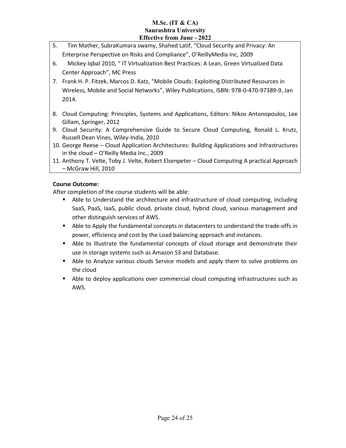- 5. Tim Mather, SubraKumara swamy, Shahed Latif, "Cloud Security and Privacy: An Enterprise Perspective on Risks and Compliance", O'ReillyMedia Inc, 2009
- 6. Mickey Iqbal 2010, " IT Virtualization Best Practices: A Lean, Green Virtualized Data Center Approach", MC Press
- 7. Frank H. P. Fitzek, Marcos D. Katz, "Mobile Clouds: Exploiting Distributed Resources in Wireless, Mobile and Social Networks", Wiley Publications, ISBN: 978-0-470-97389-9, Jan 2014.
- 8. Cloud Computing: Principles, Systems and Applications, Editors: Nikos Antonopoulos, Lee Gillam, Springer, 2012
- 9. Cloud Security: A Comprehensive Guide to Secure Cloud Computing, Ronald L. Krutz, Russell Dean Vines, Wiley-India, 2010
- 10. George Reese Cloud Application Architectures: Building Applications and Infrastructures in the cloud – O'Reilly Media Inc., 2009
- 11. Anthony T. Velte, Toby J. Velte, Robert Elsenpeter Cloud Computing A practical Approach – McGraw Hill, 2010

## **Course Outcome:**

- Able to Understand the architecture and infrastructure of cloud computing, including SaaS, PaaS, IaaS, public cloud, private cloud, hybrid cloud, various management and other distinguish services of AWS.
- **Able to Apply the fundamental concepts in datacenters to understand the trade-offs in** power, efficiency and cost by the Load balancing approach and instances.
- Able to Illustrate the fundamental concepts of cloud storage and demonstrate their use in storage systems such as Amazon S3 and Database.
- Able to Analyze various clouds Service models and apply them to solve problems on the cloud
- Able to deploy applications over commercial cloud computing infrastructures such as AWS.